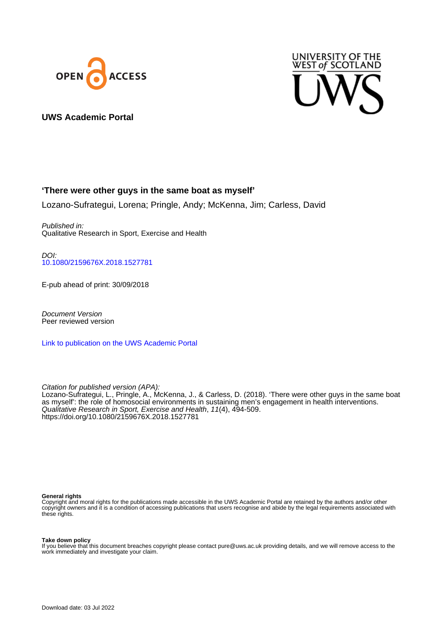



# **UWS Academic Portal**

# **'There were other guys in the same boat as myself'**

Lozano-Sufrategui, Lorena; Pringle, Andy; McKenna, Jim; Carless, David

Published in: Qualitative Research in Sport, Exercise and Health

DOI: [10.1080/2159676X.2018.1527781](https://doi.org/10.1080/2159676X.2018.1527781)

E-pub ahead of print: 30/09/2018

Document Version Peer reviewed version

[Link to publication on the UWS Academic Portal](https://uws.pure.elsevier.com/en/publications/49166a52-f7e1-42f1-97e6-dae92d5acbd2)

Citation for published version (APA): Lozano-Sufrategui, L., Pringle, A., McKenna, J., & Carless, D. (2018). 'There were other guys in the same boat as myself': the role of homosocial environments in sustaining men's engagement in health interventions. Qualitative Research in Sport, Exercise and Health, 11(4), 494-509. <https://doi.org/10.1080/2159676X.2018.1527781>

#### **General rights**

Copyright and moral rights for the publications made accessible in the UWS Academic Portal are retained by the authors and/or other copyright owners and it is a condition of accessing publications that users recognise and abide by the legal requirements associated with these rights.

#### **Take down policy**

If you believe that this document breaches copyright please contact pure@uws.ac.uk providing details, and we will remove access to the work immediately and investigate your claim.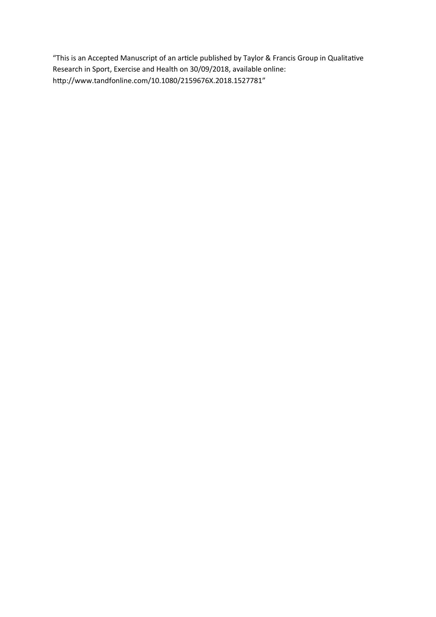"This is an Accepted Manuscript of an article published by Taylor & Francis Group in Qualitative Research in Sport, Exercise and Health on 30/09/2018, available online: http://www.tandfonline.com/10.1080/2159676X.2018.1527781"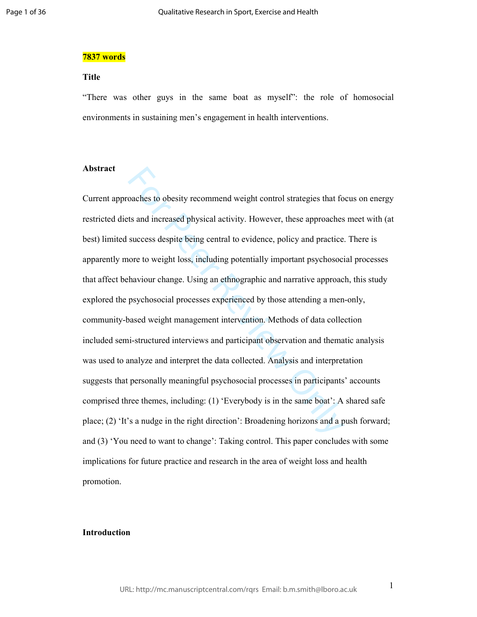#### **7837 words**

## **Title**

"There was other guys in the same boat as myself": the role of homosocial environments in sustaining men's engagement in health interventions.

## **Abstract**

oaches to obesity recommend weight control strategies that for the and increased physical activity. However, these approaches success despite being central to evidence, policy and practice success despite being central to Current approaches to obesity recommend weight control strategies that focus on energy restricted diets and increased physical activity. However, these approaches meet with (at best) limited success despite being central to evidence, policy and practice. There is apparently more to weight loss, including potentially important psychosocial processes that affect behaviour change. Using an ethnographic and narrative approach, this study explored the psychosocial processes experienced by those attending a men-only, community-based weight management intervention. Methods of data collection included semi-structured interviews and participant observation and thematic analysis was used to analyze and interpret the data collected. Analysis and interpretation suggests that personally meaningful psychosocial processes in participants' accounts comprised three themes, including: (1) 'Everybody is in the same boat': A shared safe place; (2) 'It's a nudge in the right direction': Broadening horizons and a push forward; and (3) 'You need to want to change': Taking control. This paper concludes with some implications for future practice and research in the area of weight loss and health promotion.

## **Introduction**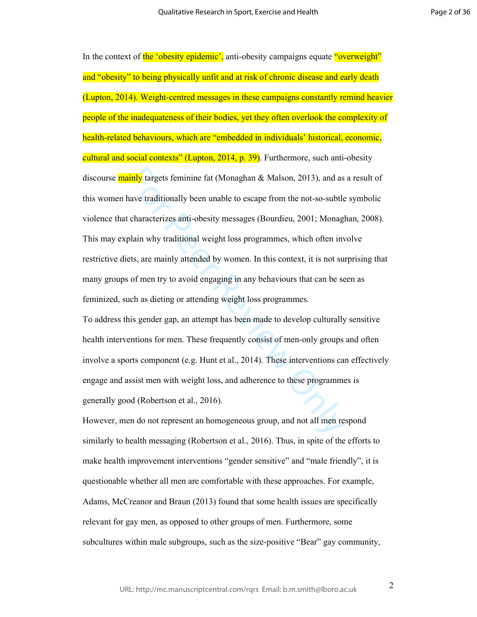**Example 18 Example 18 Constant Constant Constant Constant Constant and Salar Salar Salar Salar Salar Salar Salar Salar Salar Salar Salar Salar Salar Salar Salar Salar Salar Salar Salar Salar Salar Salar Salar Salar Salar** In the context of the 'obesity epidemic', anti-obesity campaigns equate "overweight" and "obesity" to being physically unfit and at risk of chronic disease and early death (Lupton, 2014). Weight-centred messages in these campaigns constantly remind heavier people of the inadequateness of their bodies, yet they often overlook the complexity of health-related behaviours, which are "embedded in individuals' historical, economic, cultural and social contexts" (Lupton, 2014, p. 39). Furthermore, such anti-obesity discourse **mainly** targets feminine fat (Monaghan  $\&$  Malson, 2013), and as a result of this women have traditionally been unable to escape from the not-so-subtle symbolic violence that characterizes anti-obesity messages (Bourdieu, 2001; Monaghan, 2008). This may explain why traditional weight loss programmes, which often involve restrictive diets, are mainly attended by women. In this context, it is not surprising that many groups of men try to avoid engaging in any behaviours that can be seen as feminized, such as dieting or attending weight loss programmes.

To address this gender gap, an attempt has been made to develop culturally sensitive health interventions for men. These frequently consist of men-only groups and often involve a sports component (e.g. Hunt et al., 2014). These interventions can effectively engage and assist men with weight loss, and adherence to these programmes is generally good (Robertson et al., 2016).

However, men do not represent an homogeneous group, and not all men respond similarly to health messaging (Robertson et al., 2016). Thus, in spite of the efforts to make health improvement interventions "gender sensitive" and "male friendly", it is questionable whether all men are comfortable with these approaches. For example, Adams, McCreanor and Braun (2013) found that some health issues are specifically relevant for gay men, as opposed to other groups of men. Furthermore, some subcultures within male subgroups, such as the size-positive "Bear" gay community,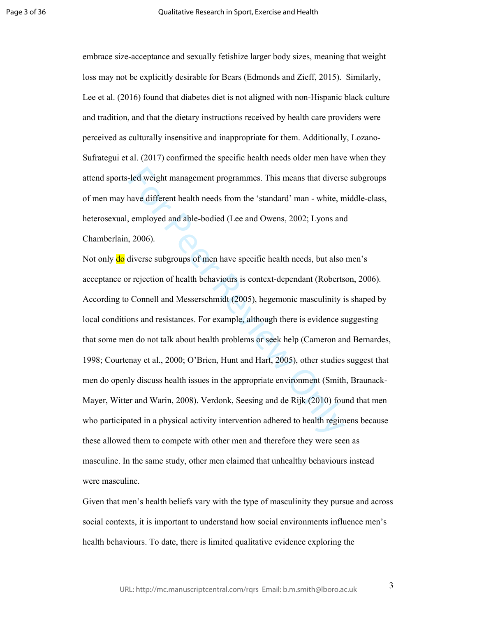embrace size-acceptance and sexually fetishize larger body sizes, meaning that weight loss may not be explicitly desirable for Bears (Edmonds and Zieff, 2015). Similarly, Lee et al. (2016) found that diabetes diet is not aligned with non-Hispanic black culture and tradition, and that the dietary instructions received by health care providers were perceived as culturally insensitive and inappropriate for them. Additionally, Lozano-Sufrategui et al. (2017) confirmed the specific health needs older men have when they attend sports-led weight management programmes. This means that diverse subgroups of men may have different health needs from the 'standard' man - white, middle-class, heterosexual, employed and able-bodied (Lee and Owens, 2002; Lyons and Chamberlain, 2006).

led weight management programmes. This means that diverse<br>have different health needs from the 'standard' man - white, n<br>employed and able-bodied (Lee and Owens, 2002; Lyons and<br>7006).<br>The employed and able-bodied (Lee and Not only **do** diverse subgroups of men have specific health needs, but also men's acceptance or rejection of health behaviours is context-dependant (Robertson, 2006). According to Connell and Messerschmidt (2005), hegemonic masculinity is shaped by local conditions and resistances. For example, although there is evidence suggesting that some men do not talk about health problems or seek help (Cameron and Bernardes, 1998; Courtenay et al., 2000; O'Brien, Hunt and Hart, 2005), other studies suggest that men do openly discuss health issues in the appropriate environment (Smith, Braunack-Mayer, Witter and Warin, 2008). Verdonk, Seesing and de Rijk (2010) found that men who participated in a physical activity intervention adhered to health regimens because these allowed them to compete with other men and therefore they were seen as masculine. In the same study, other men claimed that unhealthy behaviours instead were masculine.

Given that men's health beliefs vary with the type of masculinity they pursue and across social contexts, it is important to understand how social environments influence men's health behaviours. To date, there is limited qualitative evidence exploring the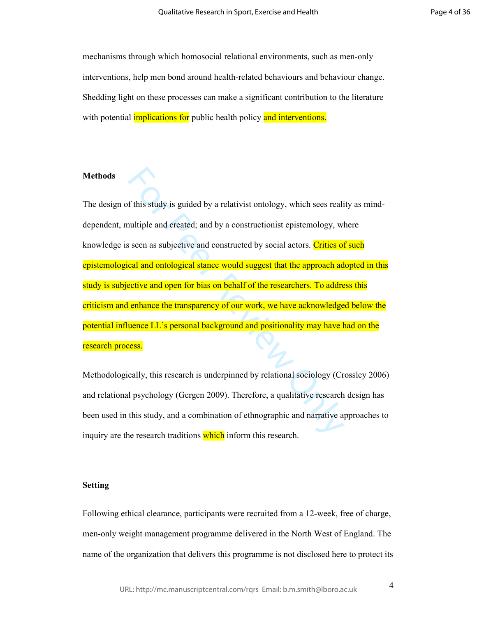mechanisms through which homosocial relational environments, such as men-only interventions, help men bond around health-related behaviours and behaviour change. Shedding light on these processes can make a significant contribution to the literature with potential *implications* for public health policy and interventions.

# **Methods**

of this study is guided by a relativist ontology, which sees realiatiple and created; and by a constructionist epistemology, wholes are as subjective and constructed by social actors. Critics of cal and ontological stance The design of this study is guided by a relativist ontology, which sees reality as minddependent, multiple and created; and by a constructionist epistemology, where knowledge is seen as subjective and constructed by social actors. Critics of such epistemological and ontological stance would suggest that the approach adopted in this study is subjective and open for bias on behalf of the researchers. To address this criticism and enhance the transparency of our work, we have acknowledged below the potential influence LL's personal background and positionality may have had on the research process.

Methodologically, this research is underpinned by relational sociology (Crossley 2006) and relational psychology (Gergen 2009). Therefore, a qualitative research design has been used in this study, and a combination of ethnographic and narrative approaches to inquiry are the research traditions which inform this research.

## **Setting**

Following ethical clearance, participants were recruited from a 12-week, free of charge, men-only weight management programme delivered in the North West of England. The name of the organization that delivers this programme is not disclosed here to protect its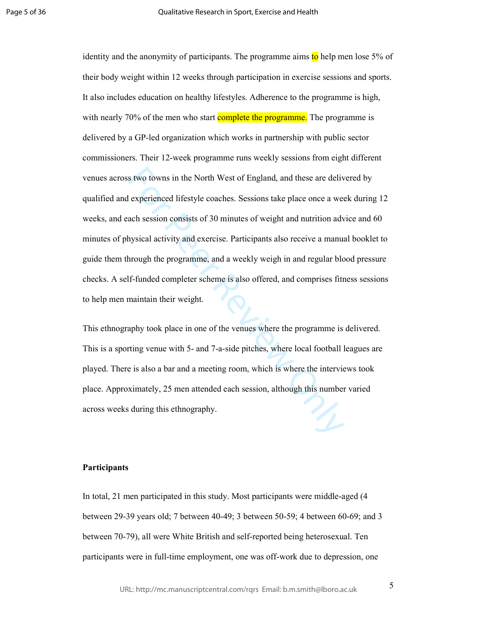s two towns in the North West of England, and these are delivend experienced lifestyle coaches. Sessions take place once a we ach session consists of 30 minutes of weight and nutrition advhysical activity and exercise. Par identity and the anonymity of participants. The programme aims to help men lose 5% of their body weight within 12 weeks through participation in exercise sessions and sports. It also includes education on healthy lifestyles. Adherence to the programme is high, with nearly 70% of the men who start **complete the programme**. The programme is delivered by a GP-led organization which works in partnership with public sector commissioners. Their 12-week programme runs weekly sessions from eight different venues across two towns in the North West of England, and these are delivered by qualified and experienced lifestyle coaches. Sessions take place once a week during 12 weeks, and each session consists of 30 minutes of weight and nutrition advice and 60 minutes of physical activity and exercise. Participants also receive a manual booklet to guide them through the programme, and a weekly weigh in and regular blood pressure checks. A self-funded completer scheme is also offered, and comprises fitness sessions to help men maintain their weight.

This ethnography took place in one of the venues where the programme is delivered. This is a sporting venue with 5- and 7-a-side pitches, where local football leagues are played. There is also a bar and a meeting room, which is where the interviews took place. Approximately, 25 men attended each session, although this number varied across weeks during this ethnography.

### **Participants**

In total, 21 men participated in this study. Most participants were middle-aged (4 between 29-39 years old; 7 between 40-49; 3 between 50-59; 4 between 60-69; and 3 between 70-79), all were White British and self-reported being heterosexual. Ten participants were in full-time employment, one was off-work due to depression, one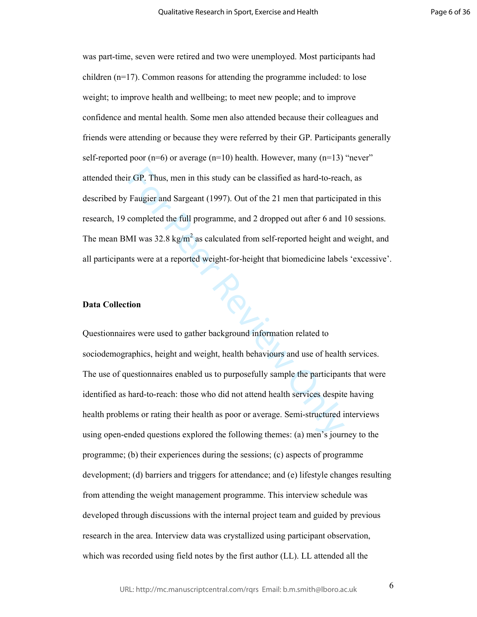was part-time, seven were retired and two were unemployed. Most participants had children (n=17). Common reasons for attending the programme included: to lose weight; to improve health and wellbeing; to meet new people; and to improve confidence and mental health. Some men also attended because their colleagues and friends were attending or because they were referred by their GP. Participants generally self-reported poor  $(n=6)$  or average  $(n=10)$  health. However, many  $(n=13)$  "never" attended their GP. Thus, men in this study can be classified as hard-to-reach, as described by Faugier and Sargeant (1997). Out of the 21 men that participated in this research, 19 completed the full programme, and 2 dropped out after 6 and 10 sessions. The mean BMI was 32.8 kg/m<sup>2</sup> as calculated from self-reported height and weight, and all participants were at a reported weight-for-height that biomedicine labels 'excessive'.

## **Data Collection**

For GP. Thus, men in this study can be classified as hard-to-reac<br>Faugier and Sargeant (1997). Out of the 21 men that participe<br>completed the full programme, and 2 dropped out after 6 and<br>MI was 32.8 kg/m<sup>2</sup> as calculated Questionnaires were used to gather background information related to sociodemographics, height and weight, health behaviours and use of health services. The use of questionnaires enabled us to purposefully sample the participants that were identified as hard-to-reach: those who did not attend health services despite having health problems or rating their health as poor or average. Semi-structured interviews using open-ended questions explored the following themes: (a) men's journey to the programme; (b) their experiences during the sessions; (c) aspects of programme development; (d) barriers and triggers for attendance; and (e) lifestyle changes resulting from attending the weight management programme. This interview schedule was developed through discussions with the internal project team and guided by previous research in the area. Interview data was crystallized using participant observation, which was recorded using field notes by the first author (LL). LL attended all the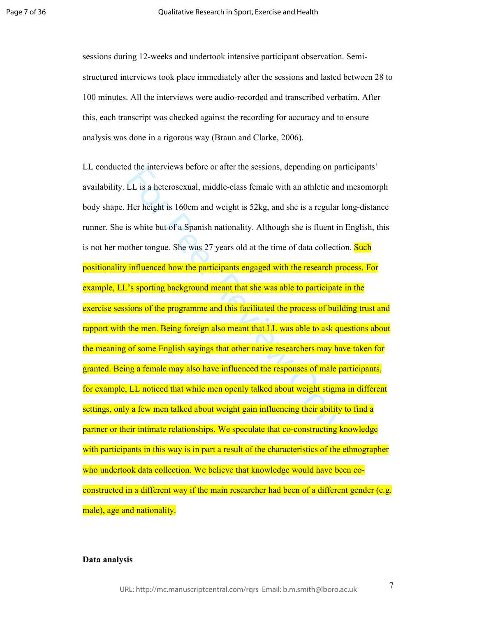sessions during 12-weeks and undertook intensive participant observation. Semistructured interviews took place immediately after the sessions and lasted between 28 to 100 minutes. All the interviews were audio-recorded and transcribed verbatim. After this, each transcript was checked against the recording for accuracy and to ensure analysis was done in a rigorous way (Braun and Clarke, 2006).

LL is a heterosexual, middle-class female with an athletic and<br>LL is a heterosexual, middle-class female with an athletic and<br>Her height is 160cm and weight is 52kg, and she is a regular lead<br>Her height is 160cm and weight LL conducted the interviews before or after the sessions, depending on participants' availability. LL is a heterosexual, middle-class female with an athletic and mesomorph body shape. Her height is 160cm and weight is 52kg, and she is a regular long-distance runner. She is white but of a Spanish nationality. Although she is fluent in English, this is not her mother tongue. She was 27 years old at the time of data collection. Such positionality influenced how the participants engaged with the research process. For example, LL's sporting background meant that she was able to participate in the exercise sessions of the programme and this facilitated the process of building trust and rapport with the men. Being foreign also meant that LL was able to ask questions about the meaning of some English sayings that other native researchers may have taken for granted. Being a female may also have influenced the responses of male participants, for example, LL noticed that while men openly talked about weight stigma in different settings, only a few men talked about weight gain influencing their ability to find a partner or their intimate relationships. We speculate that co-constructing knowledge with participants in this way is in part a result of the characteristics of the ethnographer who undertook data collection. We believe that knowledge would have been coconstructed in a different way if the main researcher had been of a different gender (e.g. male), age and nationality.

## **Data analysis**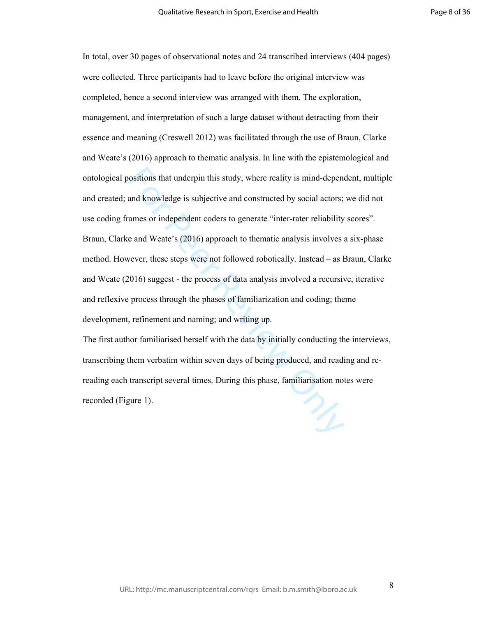ositions that underpin this study, where reality is mind-dependent knowledge is subjective and constructed by social actors; ames or independent coders to generate "inter-rater reliability e and Weate's (2016) approach to In total, over 30 pages of observational notes and 24 transcribed interviews (404 pages) were collected. Three participants had to leave before the original interview was completed, hence a second interview was arranged with them. The exploration, management, and interpretation of such a large dataset without detracting from their essence and meaning (Creswell 2012) was facilitated through the use of Braun, Clarke and Weate's (2016) approach to thematic analysis. In line with the epistemological and ontological positions that underpin this study, where reality is mind-dependent, multiple and created; and knowledge is subjective and constructed by social actors; we did not use coding frames or independent coders to generate "inter-rater reliability scores". Braun, Clarke and Weate's (2016) approach to thematic analysis involves a six-phase method. However, these steps were not followed robotically. Instead – as Braun, Clarke and Weate (2016) suggest - the process of data analysis involved a recursive, iterative and reflexive process through the phases of familiarization and coding; theme development, refinement and naming; and writing up.

The first author familiarised herself with the data by initially conducting the interviews, transcribing them verbatim within seven days of being produced, and reading and rereading each transcript several times. During this phase, familiarisation notes were recorded (Figure 1).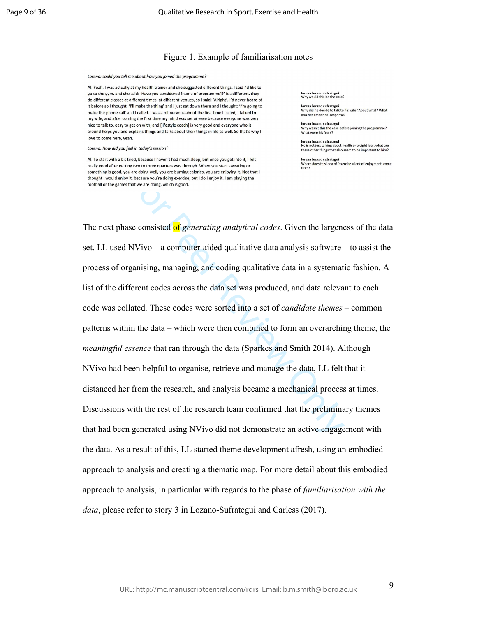## Figure 1. Example of familiarisation notes

Lorena: could you tell me about how you joined the programme?

Al: Yeah. I was actually at my health trainer and she suggested different things. I said I'd like to go to the gym, and she said: 'Have you considered [name of programme]?' It's different, they do different classes at different times, at different venues, so I said: 'Alright', I'd never heard of it before so I thought: 'I'll make the thing' and I just sat down there and I thought: 'I'm going to make the phone call' and I called. I was a bit nervous about the first time I called, I talked to my wife, and after coming the first time my mind was set at ease because everyone was very nice to talk to, easy to get on with, and [lifestyle coach] is very good and everyone who is around helps you and explains things and talks about their things in life as well. So that's why I love to come here, yeah.

Lorena: How did you feel in today's session?

Al: To start with a bit tired, because I haven't had much sleep, but once you get into it. I felt

no Iozono cufuot lorena lozano sufrategui<br>Why would this be the case?

lorena lozano sufrategui Why did he decide to talk to his wife? About what? What was her emotional response?

lorena lozano sufrategui<br>Why wasn't this the case before joining the programme? What were his fears?

lorena lozano sufrategui<br>He is not just talking about health or weight loss, what are<br>these other things that also seem to be important to him?

lorena lozano sufrategui<br>Where does this idea of 'exercise = lack of enjoyment' come

as a coincident and a coding managing. The the state of the constrained in the constrained in the constrained in the state of the coincident state of the constrained in the constrained in the coincident state of the constr The next phase consisted of *generating analytical codes*. Given the largeness of the data set, LL used NVivo – a computer-aided qualitative data analysis software – to assist the process of organising, managing, and coding qualitative data in a systematic fashion. A list of the different codes across the data set was produced, and data relevant to each code was collated. These codes were sorted into a set of *candidate themes* – common patterns within the data – which were then combined to form an overarching theme, the *meaningful essence* that ran through the data (Sparkes and Smith 2014). Although NVivo had been helpful to organise, retrieve and manage the data, LL felt that it distanced her from the research, and analysis became a mechanical process at times. Discussions with the rest of the research team confirmed that the preliminary themes that had been generated using NVivo did not demonstrate an active engagement with the data. As a result of this, LL started theme development afresh, using an embodied approach to analysis and creating a thematic map. For more detail about this embodied approach to analysis, in particular with regards to the phase of *familiarisation with the data*, please refer to story 3 in Lozano-Sufrategui and Carless (2017).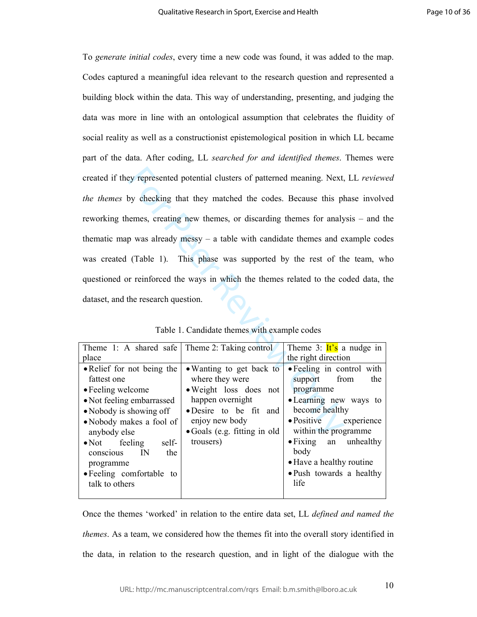Example of the same of the matched the codes. Because this phenomes, creating new themes, or discarding themes for analy<br>
permes, creating new themes, or discarding themes for analy<br>
permes, creating new themes, or discar To *generate initial codes*, every time a new code was found, it was added to the map. Codes captured a meaningful idea relevant to the research question and represented a building block within the data. This way of understanding, presenting, and judging the data was more in line with an ontological assumption that celebrates the fluidity of social reality as well as a constructionist epistemological position in which LL became part of the data. After coding, LL *searched for and identified themes*. Themes were created if they represented potential clusters of patterned meaning. Next, LL *reviewed the themes* by checking that they matched the codes. Because this phase involved reworking themes, creating new themes, or discarding themes for analysis – and the thematic map was already messy – a table with candidate themes and example codes was created (Table 1). This phase was supported by the rest of the team, who questioned or reinforced the ways in which the themes related to the coded data, the dataset, and the research question.

| Theme 1: A shared safe Theme 2: Taking control                                                                                                                                                                                                                                         |                                                                                                                                                                                            | Theme 3: $\text{It's}$ a nudge in                                                                                                                                                                                                                           |
|----------------------------------------------------------------------------------------------------------------------------------------------------------------------------------------------------------------------------------------------------------------------------------------|--------------------------------------------------------------------------------------------------------------------------------------------------------------------------------------------|-------------------------------------------------------------------------------------------------------------------------------------------------------------------------------------------------------------------------------------------------------------|
| place                                                                                                                                                                                                                                                                                  |                                                                                                                                                                                            | the right direction                                                                                                                                                                                                                                         |
| • Relief for not being the<br>fattest one<br>• Feeling welcome<br>• Not feeling embarrassed<br>• Nobody is showing off<br>• Nobody makes a fool of<br>anybody else<br>$\bullet$ Not feeling<br>self-<br>conscious IN<br>the<br>programme<br>• Feeling comfortable to<br>talk to others | • Wanting to get back to<br>where they were<br>• Weight loss does not<br>happen overnight<br>• Desire to be fit and<br>enjoy new body<br>$\bullet$ Goals (e.g. fitting in old<br>trousers) | • Feeling in control with<br>support from<br>the<br>programme<br>• Learning new ways to<br>become healthy<br>• Positive experience<br>within the programme<br>• Fixing an unhealthy<br>body<br>• Have a healthy routine<br>• Push towards a healthy<br>life |
|                                                                                                                                                                                                                                                                                        |                                                                                                                                                                                            |                                                                                                                                                                                                                                                             |

Table 1. Candidate themes with example codes

Once the themes 'worked' in relation to the entire data set, LL *defined and named the themes*. As a team, we considered how the themes fit into the overall story identified in the data, in relation to the research question, and in light of the dialogue with the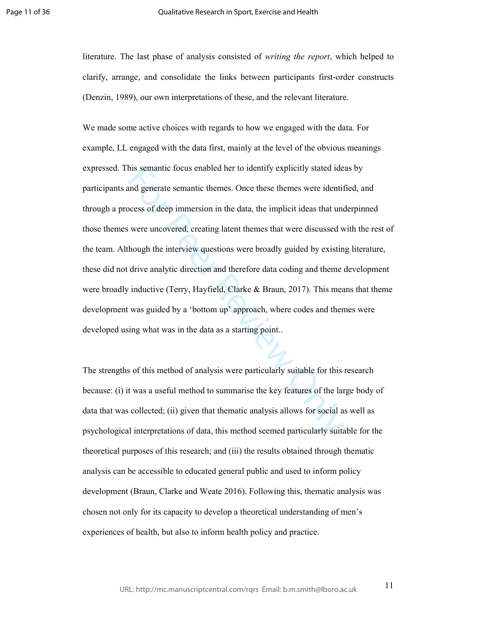literature. The last phase of analysis consisted of *writing the report*, which helped to clarify, arrange, and consolidate the links between participants first-order constructs (Denzin, 1989), our own interpretations of these, and the relevant literature.

his semantic focus enabled her to identify explicitly stated ide<br>and generate semantic themes. Once these themes were identif<br>tocess of deep immersion in the data, the implicit ideas that und<br>were uncovered, creating laten We made some active choices with regards to how we engaged with the data. For example, LL engaged with the data first, mainly at the level of the obvious meanings expressed. This semantic focus enabled her to identify explicitly stated ideas by participants and generate semantic themes. Once these themes were identified, and through a process of deep immersion in the data, the implicit ideas that underpinned those themes were uncovered, creating latent themes that were discussed with the rest of the team. Although the interview questions were broadly guided by existing literature, these did not drive analytic direction and therefore data coding and theme development were broadly inductive (Terry, Hayfield, Clarke & Braun, 2017). This means that theme development was guided by a 'bottom up' approach, where codes and themes were developed using what was in the data as a starting point..

The strengths of this method of analysis were particularly suitable for this research because: (i) it was a useful method to summarise the key features of the large body of data that was collected; (ii) given that thematic analysis allows for social as well as psychological interpretations of data, this method seemed particularly suitable for the theoretical purposes of this research; and (iii) the results obtained through thematic analysis can be accessible to educated general public and used to inform policy development (Braun, Clarke and Weate 2016). Following this, thematic analysis was chosen not only for its capacity to develop a theoretical understanding of men's experiences of health, but also to inform health policy and practice.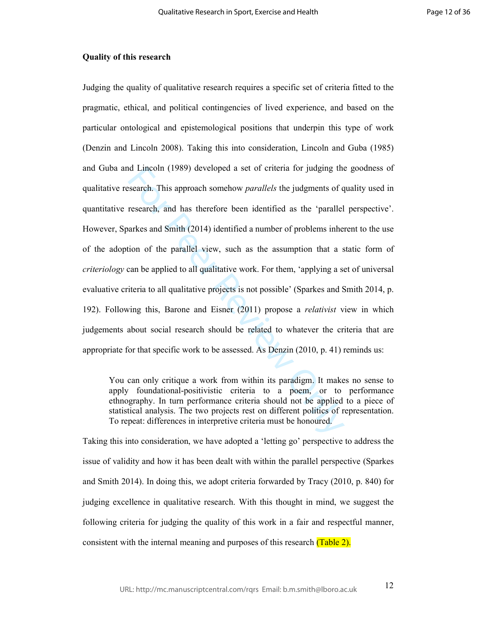## **Quality of this research**

In Collinson (1989) developed a set of criteria for judging the<br>search. This approach somehow *parallels* the judgments of q<br>research, and has therefore been identified as the 'parallel<br>arkes and Smith (2014) identified a Judging the quality of qualitative research requires a specific set of criteria fitted to the pragmatic, ethical, and political contingencies of lived experience, and based on the particular ontological and epistemological positions that underpin this type of work (Denzin and Lincoln 2008). Taking this into consideration, Lincoln and Guba (1985) and Guba and Lincoln (1989) developed a set of criteria for judging the goodness of qualitative research. This approach somehow *parallels* the judgments of quality used in quantitative research, and has therefore been identified as the 'parallel perspective'. However, Sparkes and Smith (2014) identified a number of problems inherent to the use of the adoption of the parallel view, such as the assumption that a static form of *criteriology* can be applied to all qualitative work. For them, 'applying a set of universal evaluative criteria to all qualitative projects is not possible' (Sparkes and Smith 2014, p. 192). Following this, Barone and Eisner (2011) propose a *relativist* view in which judgements about social research should be related to whatever the criteria that are appropriate for that specific work to be assessed. As Denzin (2010, p. 41) reminds us:

You can only critique a work from within its paradigm. It makes no sense to apply foundational-positivistic criteria to a poem, or to performance ethnography. In turn performance criteria should not be applied to a piece of statistical analysis. The two projects rest on different politics of representation. To repeat: differences in interpretive criteria must be honoured.

Taking this into consideration, we have adopted a 'letting go' perspective to address the issue of validity and how it has been dealt with within the parallel perspective (Sparkes and Smith 2014). In doing this, we adopt criteria forwarded by Tracy (2010, p. 840) for judging excellence in qualitative research. With this thought in mind, we suggest the following criteria for judging the quality of this work in a fair and respectful manner, consistent with the internal meaning and purposes of this research (Table 2).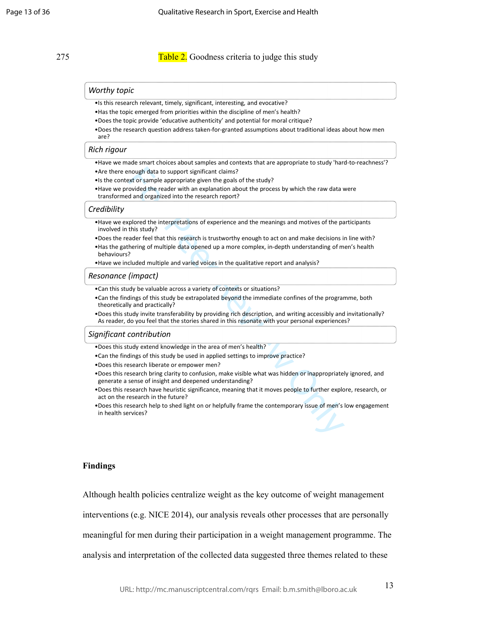275 Table 2. Goodness criteria to judge this study

#### *Worthy topic*

- •Is this research relevant, timely, significant, interesting, and evocative?
- •Has the topic emerged from priorities within the discipline of men's health?
- •Does the topic provide 'educative authenticity' and potential for moral critique?
- •Does the research question address taken-for-granted assumptions about traditional ideas about how men are?

#### *Rich rigour*

- •Have we made smart choices about samples and contexts that are appropriate to study 'hard-to-reachness'? •Are there enough data to support significant claims?
- •Is the context or sample appropriate given the goals of the study?
- •Have we provided the reader with an explanation about the process by which the raw data were transformed and organized into the research report?

#### *Credibility*

- •Have we explored the interpretations of experience and the meanings and motives of the participants involved in this study?
- •Does the reader feel that this research is trustworthy enough to act on and make decisions in line with?
- mough data to support significant claims?<br>
Act or sample appropriate given the goals of the study?<br>
Act or sample appropriate given the goals of the study?<br>
orvided the reader with an explanation about the process by which •Has the gathering of multiple data opened up a more complex, in-depth understanding of men's health behaviours?
- •Have we included multiple and varied voices in the qualitative report and analysis?

#### *Resonance (impact)*

- •Can this study be valuable across a variety of contexts or situations?
- •Can the findings of this study be extrapolated beyond the immediate confines of the programme, both theoretically and practically?
- •Does this study invite transferability by providing rich description, and writing accessibly and invitationally? As reader, do you feel that the stories shared in this resonate with your personal experiences?

#### *Significant contribution*

- •Does this study extend knowledge in the area of men's health?
- •Can the findings of this study be used in applied settings to improve practice?
- •Does this research liberate or empower men?
- •Does this research bring clarity to confusion, make visible what was hidden or inappropriately ignored, and generate a sense of insight and deepened understanding?
- •Does this research have heuristic significance, meaning that it moves people to further explore, research, or act on the research in the future?
- •Does this research help to shed light on or helpfully frame the contemporary issue of men's low engagement in health services?

### **Findings**

Although health policies centralize weight as the key outcome of weight management

interventions (e.g. NICE 2014), our analysis reveals other processes that are personally

meaningful for men during their participation in a weight management programme. The

analysis and interpretation of the collected data suggested three themes related to these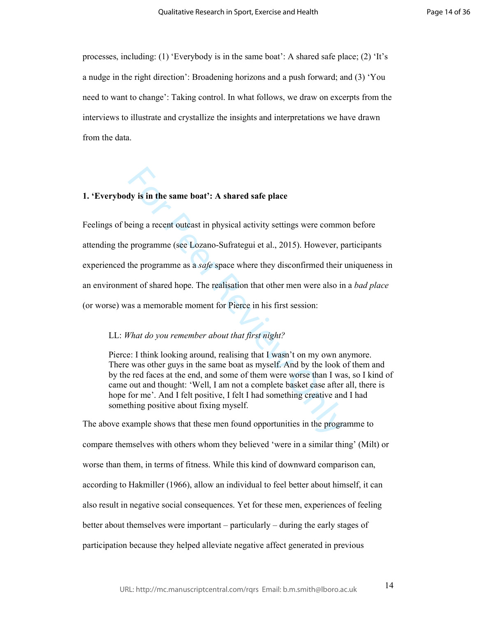processes, including: (1) 'Everybody is in the same boat': A shared safe place; (2) 'It's a nudge in the right direction': Broadening horizons and a push forward; and (3) 'You need to want to change': Taking control. In what follows, we draw on excerpts from the interviews to illustrate and crystallize the insights and interpretations we have drawn from the data.

## **1. 'Everybody is in the same boat': A shared safe place**

It is in the same boat': A shared safe place<br>
eing a recent outcast in physical activity settings were comme<br>
programme (see Lozano-Sufrategui et al., 2015). However, p<br>
the programme as a *safe* space where they disconfir Feelings of being a recent outcast in physical activity settings were common before attending the programme (see Lozano-Sufrategui et al., 2015). However, participants experienced the programme as a *safe* space where they disconfirmed their uniqueness in an environment of shared hope. The realisation that other men were also in a *bad place* (or worse) was a memorable moment for Pierce in his first session:

## LL: *What do you remember about that first night?*

Pierce: I think looking around, realising that I wasn't on my own anymore. There was other guys in the same boat as myself. And by the look of them and by the red faces at the end, and some of them were worse than I was, so I kind of came out and thought: 'Well, I am not a complete basket case after all, there is hope for me'. And I felt positive, I felt I had something creative and I had something positive about fixing myself.

The above example shows that these men found opportunities in the programme to compare themselves with others whom they believed 'were in a similar thing' (Milt) or worse than them, in terms of fitness. While this kind of downward comparison can, according to Hakmiller (1966), allow an individual to feel better about himself, it can also result in negative social consequences. Yet for these men, experiences of feeling better about themselves were important – particularly – during the early stages of participation because they helped alleviate negative affect generated in previous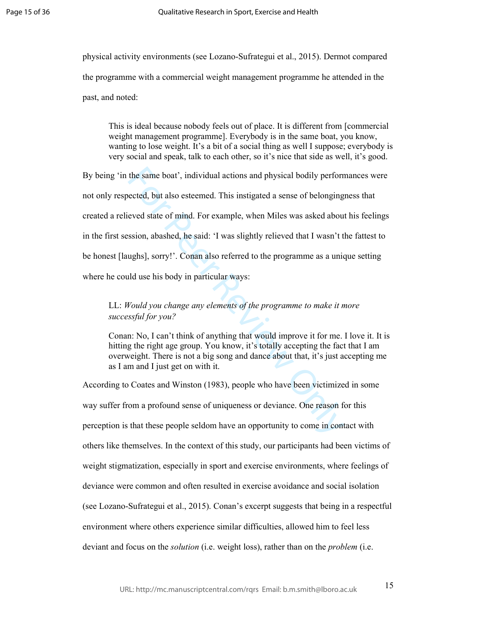physical activity environments (see Lozano-Sufrategui et al., 2015). Dermot compared the programme with a commercial weight management programme he attended in the past, and noted:

This is ideal because nobody feels out of place. It is different from [commercial weight management programme]. Everybody is in the same boat, you know, wanting to lose weight. It's a bit of a social thing as well I suppose; everybody is very social and speak, talk to each other, so it's nice that side as well, it's good.

the same boat', individual actions and physical bodily performected, but also esteemed. This instigated a sense of belonging eved state of mind. For example, when Miles was asked aboussion, abashed, he said: 'I was slightl By being 'in the same boat', individual actions and physical bodily performances were not only respected, but also esteemed. This instigated a sense of belongingness that created a relieved state of mind. For example, when Miles was asked about his feelings in the first session, abashed, he said: 'I was slightly relieved that I wasn't the fattest to be honest [laughs], sorry!'. Conan also referred to the programme as a unique setting where he could use his body in particular ways:

# LL: *Would you change any elements of the programme to make it more successful for you?*

Conan: No, I can't think of anything that would improve it for me. I love it. It is hitting the right age group. You know, it's totally accepting the fact that I am overweight. There is not a big song and dance about that, it's just accepting me as I am and I just get on with it.

According to Coates and Winston (1983), people who have been victimized in some way suffer from a profound sense of uniqueness or deviance. One reason for this perception is that these people seldom have an opportunity to come in contact with others like themselves. In the context of this study, our participants had been victims of weight stigmatization, especially in sport and exercise environments, where feelings of deviance were common and often resulted in exercise avoidance and social isolation (see Lozano-Sufrategui et al., 2015). Conan's excerpt suggests that being in a respectful environment where others experience similar difficulties, allowed him to feel less deviant and focus on the *solution* (i.e. weight loss), rather than on the *problem* (i.e.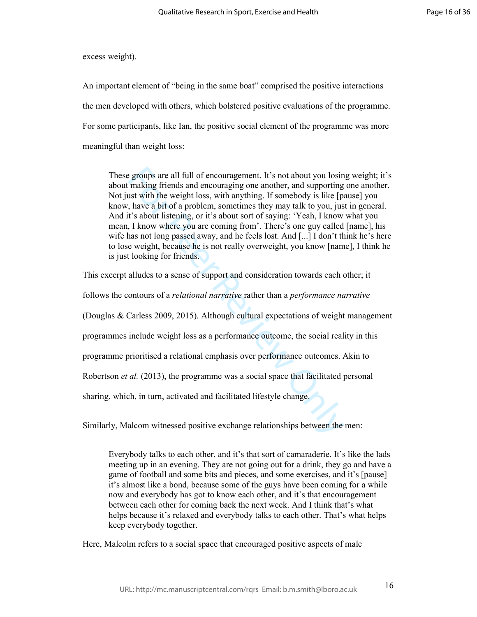excess weight).

An important element of "being in the same boat" comprised the positive interactions the men developed with others, which bolstered positive evaluations of the programme. For some participants, like Ian, the positive social element of the programme was more meaningful than weight loss:

These groups are all full of encouragement. It's not about you losing weight; it's about making friends and encouraging one another, and supporting one another. Not just with the weight loss, with anything. If somebody is like [pause] you know, have a bit of a problem, sometimes they may talk to you, just in general. And it's about listening, or it's about sort of saying: 'Yeah, I know what you mean, I know where you are coming from'. There's one guy called [name], his wife has not long passed away, and he feels lost. And [...] I don't think he's here to lose weight, because he is not really overweight, you know [name], I think he is just looking for friends.

e groups are all full of encouragement. It's not about you losin<br>making friends and encouraging one another, and supporting<br>ust with the weight loss, with anything. If somebody is like [p,<br>have a bit of a problem, sometime This excerpt alludes to a sense of support and consideration towards each other; it follows the contours of a *relational narrative* rather than a *performance narrative* (Douglas & Carless 2009, 2015). Although cultural expectations of weight management programmes include weight loss as a performance outcome, the social reality in this programme prioritised a relational emphasis over performance outcomes. Akin to Robertson *et al.* (2013), the programme was a social space that facilitated personal sharing, which, in turn, activated and facilitated lifestyle change.

Similarly, Malcom witnessed positive exchange relationships between the men:

Everybody talks to each other, and it's that sort of camaraderie. It's like the lads meeting up in an evening. They are not going out for a drink, they go and have a game of football and some bits and pieces, and some exercises, and it's [pause] it's almost like a bond, because some of the guys have been coming for a while now and everybody has got to know each other, and it's that encouragement between each other for coming back the next week. And I think that's what helps because it's relaxed and everybody talks to each other. That's what helps keep everybody together.

Here, Malcolm refers to a social space that encouraged positive aspects of male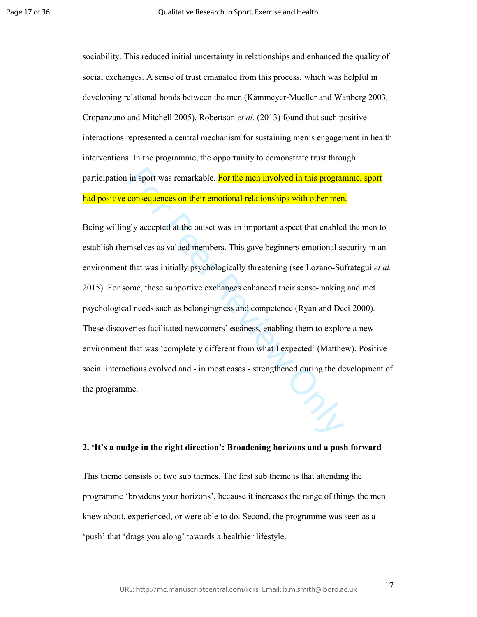sociability. This reduced initial uncertainty in relationships and enhanced the quality of social exchanges. A sense of trust emanated from this process, which was helpful in developing relational bonds between the men (Kammeyer-Mueller and Wanberg 2003, Cropanzano and Mitchell 2005). Robertson *et al.* (2013) found that such positive interactions represented a central mechanism for sustaining men's engagement in health interventions. In the programme, the opportunity to demonstrate trust through participation in sport was remarkable. For the men involved in this programme, sport had positive consequences on their emotional relationships with other men.

in sport was remarkable. For the men involved in this program<br>consequences on their emotional relationships with other men<br>gly accepted at the outset was an important aspect that enabled<br>mselves as valued members. This gav Being willingly accepted at the outset was an important aspect that enabled the men to establish themselves as valued members. This gave beginners emotional security in an environment that was initially psychologically threatening (see Lozano-Sufrategui *et al.* 2015). For some, these supportive exchanges enhanced their sense-making and met psychological needs such as belongingness and competence (Ryan and Deci 2000). These discoveries facilitated newcomers' easiness, enabling them to explore a new environment that was 'completely different from what I expected' (Matthew). Positive social interactions evolved and - in most cases - strengthened during the development of the programme.

# **2. 'It's a nudge in the right direction': Broadening horizons and a push forward**

This theme consists of two sub themes. The first sub theme is that attending the programme 'broadens your horizons', because it increases the range of things the men knew about, experienced, or were able to do. Second, the programme was seen as a 'push' that 'drags you along' towards a healthier lifestyle.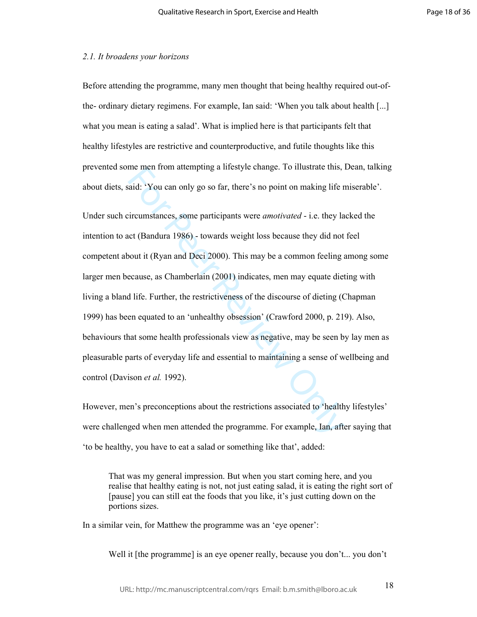## *2.1. It broadens your horizons*

Before attending the programme, many men thought that being healthy required out-ofthe- ordinary dietary regimens. For example, Ian said: 'When you talk about health [...] what you mean is eating a salad'. What is implied here is that participants felt that healthy lifestyles are restrictive and counterproductive, and futile thoughts like this prevented some men from attempting a lifestyle change. To illustrate this, Dean, talking about diets, said: 'You can only go so far, there's no point on making life miserable'.

ine men nom attempting a mestyle change. To must all the men nom attempting a mestyle change. To must all the r<br>incurrent stands: 'You can only go so far, there's no point on making life r<br>incumstances, some participants w Under such circumstances, some participants were *amotivated* - i.e. they lacked the intention to act (Bandura 1986) - towards weight loss because they did not feel competent about it (Ryan and Deci 2000). This may be a common feeling among some larger men because, as Chamberlain (2001) indicates, men may equate dieting with living a bland life. Further, the restrictiveness of the discourse of dieting (Chapman 1999) has been equated to an 'unhealthy obsession' (Crawford 2000, p. 219). Also, behaviours that some health professionals view as negative, may be seen by lay men as pleasurable parts of everyday life and essential to maintaining a sense of wellbeing and control (Davison *et al.* 1992).

However, men's preconceptions about the restrictions associated to 'healthy lifestyles' were challenged when men attended the programme. For example, Ian, after saying that 'to be healthy, you have to eat a salad or something like that', added:

That was my general impression. But when you start coming here, and you realise that healthy eating is not, not just eating salad, it is eating the right sort of [pause] you can still eat the foods that you like, it's just cutting down on the portions sizes.

In a similar vein, for Matthew the programme was an 'eye opener':

Well it [the programme] is an eye opener really, because you don't... you don't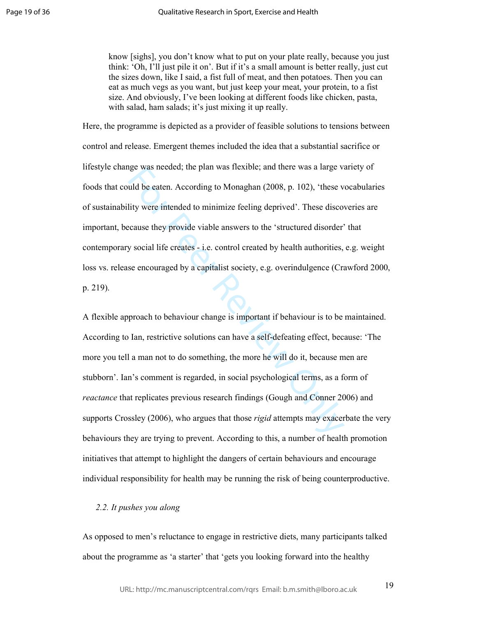know [sighs], you don't know what to put on your plate really, because you just think: 'Oh, I'll just pile it on'. But if it's a small amount is better really, just cut the sizes down, like I said, a fist full of meat, and then potatoes. Then you can eat as much vegs as you want, but just keep your meat, your protein, to a fist size. And obviously, I've been looking at different foods like chicken, pasta, with salad, ham salads; it's just mixing it up really.

Here, the programme is depicted as a provider of feasible solutions to tensions between control and release. Emergent themes included the idea that a substantial sacrifice or lifestyle change was needed; the plan was flexible; and there was a large variety of foods that could be eaten. According to Monaghan (2008, p. 102), 'these vocabularies of sustainability were intended to minimize feeling deprived'. These discoveries are important, because they provide viable answers to the 'structured disorder' that contemporary social life creates - i.e. control created by health authorities, e.g. weight loss vs. release encouraged by a capitalist society, e.g. overindulgence (Crawford 2000, p. 219).

ge was needed, the plan was nexible, and there was a large via<br>
uld be eaten. According to Monaghan (2008, p. 102), 'these v<br>
lity were intended to minimize feeling deprived'. These discove<br>
cause they provide viable answe A flexible approach to behaviour change is important if behaviour is to be maintained. According to Ian, restrictive solutions can have a self-defeating effect, because: 'The more you tell a man not to do something, the more he will do it, because men are stubborn'. Ian's comment is regarded, in social psychological terms, as a form of *reactance* that replicates previous research findings (Gough and Conner 2006) and supports Crossley (2006), who argues that those *rigid* attempts may exacerbate the very behaviours they are trying to prevent. According to this, a number of health promotion initiatives that attempt to highlight the dangers of certain behaviours and encourage individual responsibility for health may be running the risk of being counterproductive.

# *2.2. It pushes you along*

As opposed to men's reluctance to engage in restrictive diets, many participants talked about the programme as 'a starter' that 'gets you looking forward into the healthy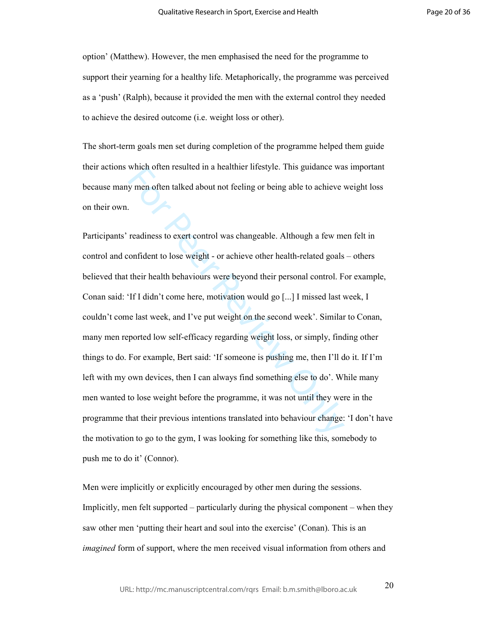option' (Matthew). However, the men emphasised the need for the programme to support their yearning for a healthy life. Metaphorically, the programme was perceived as a 'push' (Ralph), because it provided the men with the external control they needed to achieve the desired outcome (i.e. weight loss or other).

The short-term goals men set during completion of the programme helped them guide their actions which often resulted in a healthier lifestyle. This guidance was important because many men often talked about not feeling or being able to achieve weight loss on their own.

which often resulted in a nearliner inestyte. This guitaance wa<br>y men often talked about not feeling or being able to achieve<br>readiness to exert control was changeable. Although a few me<br>onfident to lose weight - or achiev Participants' readiness to exert control was changeable. Although a few men felt in control and confident to lose weight - or achieve other health-related goals – others believed that their health behaviours were beyond their personal control. For example, Conan said: 'If I didn't come here, motivation would go [...] I missed last week, I couldn't come last week, and I've put weight on the second week'. Similar to Conan, many men reported low self-efficacy regarding weight loss, or simply, finding other things to do. For example, Bert said: 'If someone is pushing me, then I'll do it. If I'm left with my own devices, then I can always find something else to do'. While many men wanted to lose weight before the programme, it was not until they were in the programme that their previous intentions translated into behaviour change: 'I don't have the motivation to go to the gym, I was looking for something like this, somebody to push me to do it' (Connor).

Men were implicitly or explicitly encouraged by other men during the sessions. Implicitly, men felt supported – particularly during the physical component – when they saw other men 'putting their heart and soul into the exercise' (Conan). This is an *imagined* form of support, where the men received visual information from others and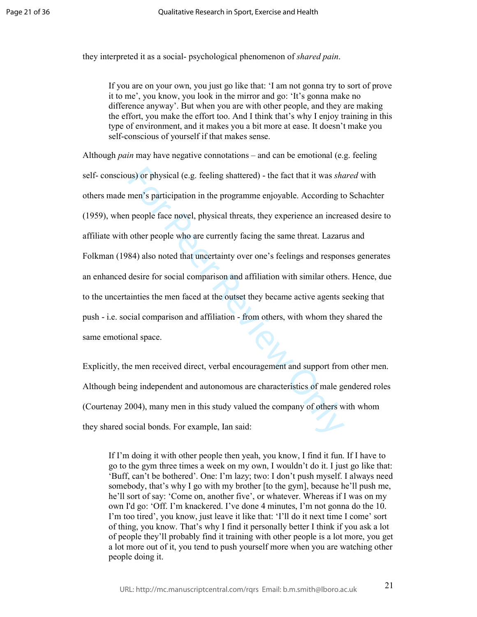they interpreted it as a social- psychological phenomenon of *shared pain*.

If you are on your own, you just go like that: 'I am not gonna try to sort of prove it to me', you know, you look in the mirror and go: 'It's gonna make no difference anyway'. But when you are with other people, and they are making the effort, you make the effort too. And I think that's why I enjoy training in this type of environment, and it makes you a bit more at ease. It doesn't make you self-conscious of yourself if that makes sense.

us) or physical (e.g. feeling shattered) - the fact that it was *sha* men's participation in the programme enjoyable. According to people face novel, physical threats, they experience an increasion people face novel, physi Although *pain* may have negative connotations – and can be emotional (e.g. feeling self- conscious) or physical (e.g. feeling shattered) - the fact that it was *shared* with others made men's participation in the programme enjoyable. According to Schachter (1959), when people face novel, physical threats, they experience an increased desire to affiliate with other people who are currently facing the same threat. Lazarus and Folkman (1984) also noted that uncertainty over one's feelings and responses generates an enhanced desire for social comparison and affiliation with similar others. Hence, due to the uncertainties the men faced at the outset they became active agents seeking that push - i.e. social comparison and affiliation - from others, with whom they shared the same emotional space.

Explicitly, the men received direct, verbal encouragement and support from other men. Although being independent and autonomous are characteristics of male gendered roles (Courtenay 2004), many men in this study valued the company of others with whom they shared social bonds. For example, Ian said:

If I'm doing it with other people then yeah, you know, I find it fun. If I have to go to the gym three times a week on my own, I wouldn't do it. I just go like that: 'Buff, can't be bothered'. One: I'm lazy; two: I don't push myself. I always need somebody, that's why I go with my brother [to the gym], because he'll push me, he'll sort of say: 'Come on, another five', or whatever. Whereas if I was on my own I'd go: 'Off. I'm knackered. I've done 4 minutes, I'm not gonna do the 10. I'm too tired', you know, just leave it like that: 'I'll do it next time I come' sort of thing, you know. That's why I find it personally better I think if you ask a lot of people they'll probably find it training with other people is a lot more, you get a lot more out of it, you tend to push yourself more when you are watching other people doing it.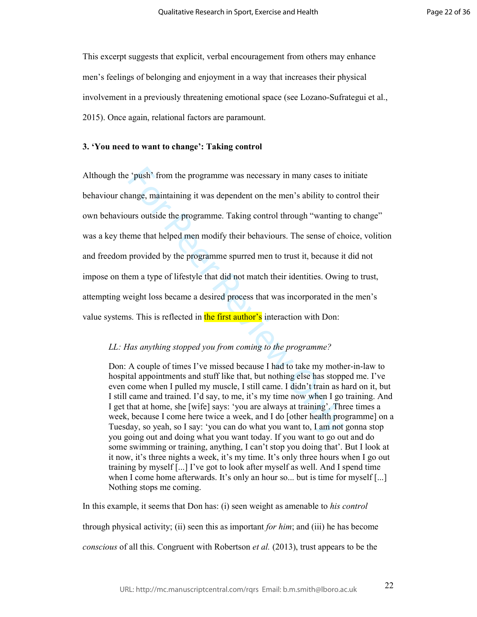This excerpt suggests that explicit, verbal encouragement from others may enhance men's feelings of belonging and enjoyment in a way that increases their physical involvement in a previously threatening emotional space (see Lozano-Sufrategui et al., 2015). Once again, relational factors are paramount.

## **3. 'You need to want to change': Taking control**

"Foush" from the programme was necessary in many cases to i<br>ange, maintaining it was dependent on the men"s ability to co<br>urs outside the programme. Taking control through "wanting<br>geme that helped men modify their behavi Although the 'push' from the programme was necessary in many cases to initiate behaviour change, maintaining it was dependent on the men's ability to control their own behaviours outside the programme. Taking control through "wanting to change" was a key theme that helped men modify their behaviours. The sense of choice, volition and freedom provided by the programme spurred men to trust it, because it did not impose on them a type of lifestyle that did not match their identities. Owing to trust, attempting weight loss became a desired process that was incorporated in the men's value systems. This is reflected in the first author's interaction with Don:

# *LL: Has anything stopped you from coming to the programme?*

Don: A couple of times I've missed because I had to take my mother-in-law to hospital appointments and stuff like that, but nothing else has stopped me. I've even come when I pulled my muscle, I still came. I didn't train as hard on it, but I still came and trained. I'd say, to me, it's my time now when I go training. And I get that at home, she [wife] says: 'you are always at training'. Three times a week, because I come here twice a week, and I do [other health programme] on a Tuesday, so yeah, so I say: 'you can do what you want to, I am not gonna stop you going out and doing what you want today. If you want to go out and do some swimming or training, anything, I can't stop you doing that'. But I look at it now, it's three nights a week, it's my time. It's only three hours when I go out training by myself [...] I've got to look after myself as well. And I spend time when I come home afterwards. It's only an hour so... but is time for myself [...] Nothing stops me coming.

In this example, it seems that Don has: (i) seen weight as amenable to *his control* 

through physical activity; (ii) seen this as important *for him*; and (iii) he has become

*conscious* of all this. Congruent with Robertson *et al.* (2013), trust appears to be the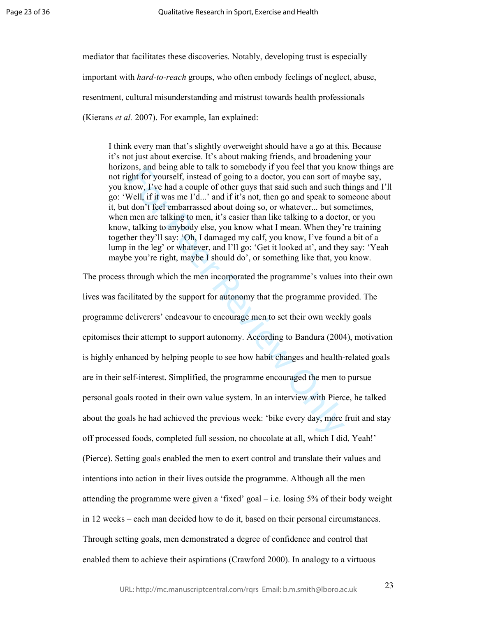mediator that facilitates these discoveries. Notably, developing trust is especially important with *hard-to-reach* groups, who often embody feelings of neglect, abuse, resentment, cultural misunderstanding and mistrust towards health professionals (Kierans *et al.* 2007). For example, Ian explained:

I think every man that's slightly overweight should have a go at this. Because it's not just about exercise. It's about making friends, and broadening your horizons, and being able to talk to somebody if you feel that you know things are not right for yourself, instead of going to a doctor, you can sort of maybe say, you know, I've had a couple of other guys that said such and such things and I'll go: 'Well, if it was me I'd...' and if it's not, then go and speak to someone about it, but don't feel embarrassed about doing so, or whatever... but sometimes, when men are talking to men, it's easier than like talking to a doctor, or you know, talking to anybody else, you know what I mean. When they're training together they'll say: 'Oh, I damaged my calf, you know, I've found a bit of a lump in the leg' or whatever, and I'll go: 'Get it looked at', and they say: 'Yeah maybe you're right, maybe I should do', or something like that, you know.

Solution of a using an original of the solution of the mat you ket that you ket the speak for yourself, instead of going to a doctor, you can sort of r now, I've had a couple of other guys that said such and such to Nell, The process through which the men incorporated the programme's values into their own lives was facilitated by the support for autonomy that the programme provided. The programme deliverers' endeavour to encourage men to set their own weekly goals epitomises their attempt to support autonomy. According to Bandura (2004), motivation is highly enhanced by helping people to see how habit changes and health-related goals are in their self-interest. Simplified, the programme encouraged the men to pursue personal goals rooted in their own value system. In an interview with Pierce, he talked about the goals he had achieved the previous week: 'bike every day, more fruit and stay off processed foods, completed full session, no chocolate at all, which I did, Yeah!' (Pierce). Setting goals enabled the men to exert control and translate their values and intentions into action in their lives outside the programme. Although all the men attending the programme were given a 'fixed' goal – i.e. losing 5% of their body weight in 12 weeks – each man decided how to do it, based on their personal circumstances. Through setting goals, men demonstrated a degree of confidence and control that enabled them to achieve their aspirations (Crawford 2000). In analogy to a virtuous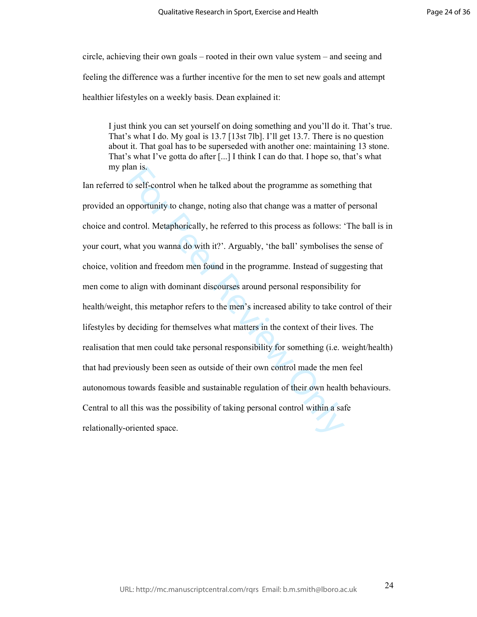circle, achieving their own goals – rooted in their own value system – and seeing and feeling the difference was a further incentive for the men to set new goals and attempt healthier lifestyles on a weekly basis. Dean explained it:

I just think you can set yourself on doing something and you'll do it. That's true. That's what I do. My goal is 13.7 [13st 7lb]. I'll get 13.7. There is no question about it. That goal has to be superseded with another one: maintaining 13 stone. That's what I've gotta do after [...] I think I can do that. I hope so, that's what my plan is.

ison to be the talked about the programme as someth<br>popportunity to change, noting also that change was a matter of<br>ontrol. Metaphorically, he referred to this process as follows:<br>that you wanna do with it?'. Arguably, 'th Ian referred to self-control when he talked about the programme as something that provided an opportunity to change, noting also that change was a matter of personal choice and control. Metaphorically, he referred to this process as follows: 'The ball is in your court, what you wanna do with it?'. Arguably, 'the ball' symbolises the sense of choice, volition and freedom men found in the programme. Instead of suggesting that men come to align with dominant discourses around personal responsibility for health/weight, this metaphor refers to the men's increased ability to take control of their lifestyles by deciding for themselves what matters in the context of their lives. The realisation that men could take personal responsibility for something (i.e. weight/health) that had previously been seen as outside of their own control made the men feel autonomous towards feasible and sustainable regulation of their own health behaviours. Central to all this was the possibility of taking personal control within a safe relationally-oriented space.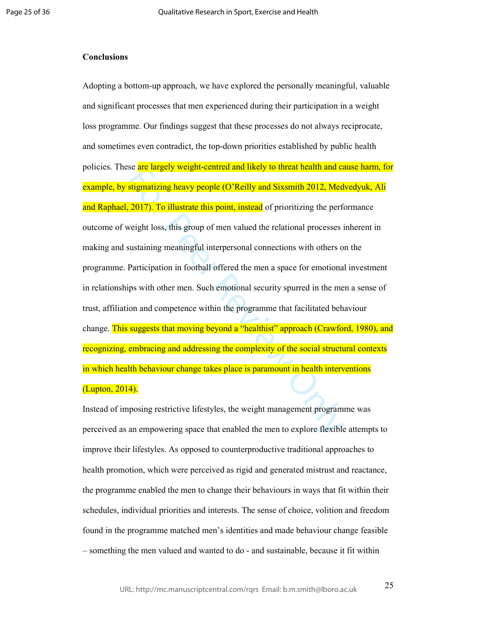#### **Conclusions**

se are largery weight-centred and fikely to threat health and castle<br>stigmatizing heavy people (O'Reilly and Sixsmith 2012, Med<br>2017). To illustrate this point, instead of prioritizing the performed<br>alternation and secure Adopting a bottom-up approach, we have explored the personally meaningful, valuable and significant processes that men experienced during their participation in a weight loss programme. Our findings suggest that these processes do not always reciprocate, and sometimes even contradict, the top-down priorities established by public health policies. These are largely weight-centred and likely to threat health and cause harm, for example, by stigmatizing heavy people (O'Reilly and Sixsmith 2012, Medvedyuk, Ali and Raphael, 2017). To illustrate this point, instead of prioritizing the performance outcome of weight loss, this group of men valued the relational processes inherent in making and sustaining meaningful interpersonal connections with others on the programme. Participation in football offered the men a space for emotional investment in relationships with other men. Such emotional security spurred in the men a sense of trust, affiliation and competence within the programme that facilitated behaviour change. This suggests that moving beyond a "healthist" approach (Crawford, 1980), and recognizing, embracing and addressing the complexity of the social structural contexts in which health behaviour change takes place is paramount in health interventions (Lupton, 2014).

Instead of imposing restrictive lifestyles, the weight management programme was perceived as an empowering space that enabled the men to explore flexible attempts to improve their lifestyles. As opposed to counterproductive traditional approaches to health promotion, which were perceived as rigid and generated mistrust and reactance, the programme enabled the men to change their behaviours in ways that fit within their schedules, individual priorities and interests. The sense of choice, volition and freedom found in the programme matched men's identities and made behaviour change feasible – something the men valued and wanted to do - and sustainable, because it fit within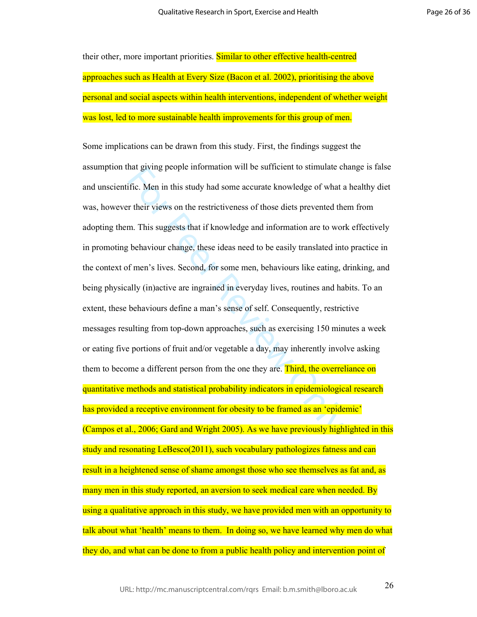Page 26 of 36

their other, more important priorities. Similar to other effective health-centred approaches such as Health at Every Size (Bacon et al. 2002), prioritising the above personal and social aspects within health interventions, independent of whether weight was lost, led to more sustainable health improvements for this group of men.

that giving people information win be sumerent to stimulate entific. Men in this study had some accurate knowledge of what a r their views on the restrictiveness of those diets prevented the m. This suggests that if knowle Some implications can be drawn from this study. First, the findings suggest the assumption that giving people information will be sufficient to stimulate change is false and unscientific. Men in this study had some accurate knowledge of what a healthy diet was, however their views on the restrictiveness of those diets prevented them from adopting them. This suggests that if knowledge and information are to work effectively in promoting behaviour change, these ideas need to be easily translated into practice in the context of men's lives. Second, for some men, behaviours like eating, drinking, and being physically (in)active are ingrained in everyday lives, routines and habits. To an extent, these behaviours define a man's sense of self. Consequently, restrictive messages resulting from top-down approaches, such as exercising 150 minutes a week or eating five portions of fruit and/or vegetable a day, may inherently involve asking them to become a different person from the one they are. Third, the overreliance on quantitative methods and statistical probability indicators in epidemiological research has provided a receptive environment for obesity to be framed as an 'epidemic' (Campos et al., 2006; Gard and Wright 2005). As we have previously highlighted in this study and resonating LeBesco(2011), such vocabulary pathologizes fatness and can result in a heightened sense of shame amongst those who see themselves as fat and, as many men in this study reported, an aversion to seek medical care when needed. By using a qualitative approach in this study, we have provided men with an opportunity to talk about what 'health' means to them. In doing so, we have learned why men do what they do, and what can be done to from a public health policy and intervention point of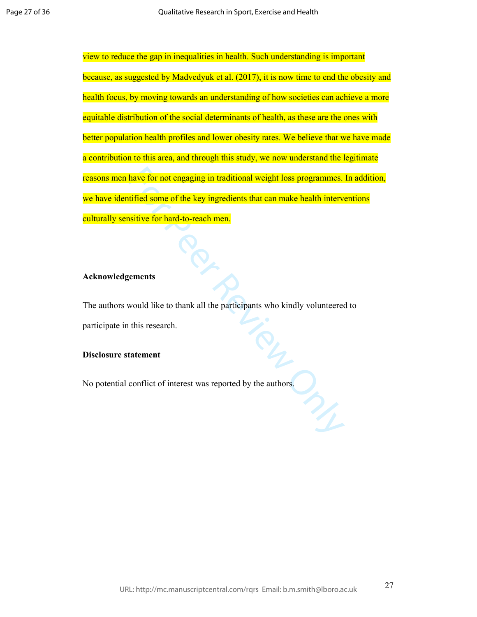have for not engaging in traditional weight loss programmes.<br>
tified some of the key ingredients that can make health intervisitive for hard-to-reach men.<br>
sements<br>
sements<br>
would like to thank all the participants who kin view to reduce the gap in inequalities in health. Such understanding is important because, as suggested by Madvedyuk et al. (2017), it is now time to end the obesity and health focus, by moving towards an understanding of how societies can achieve a more equitable distribution of the social determinants of health, as these are the ones with better population health profiles and lower obesity rates. We believe that we have made a contribution to this area, and through this study, we now understand the legitimate reasons men have for not engaging in traditional weight loss programmes. In addition, we have identified some of the key ingredients that can make health interventions culturally sensitive for hard-to-reach men.

## **Acknowledgements**

The authors would like to thank all the participants who kindly volunteered to participate in this research.

## **Disclosure statement**

No potential conflict of interest was reported by the authors.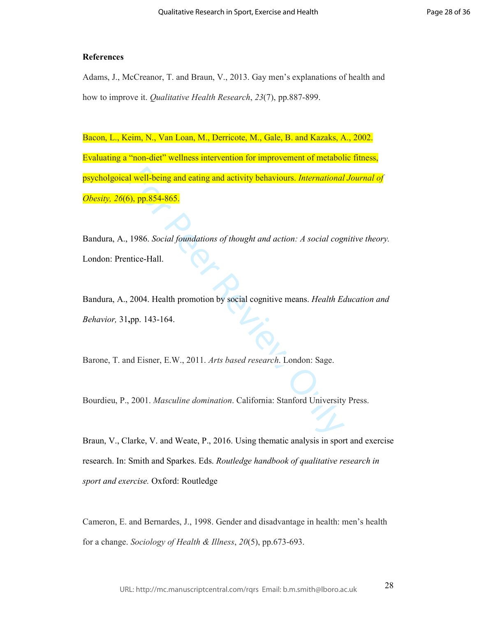## **References**

Adams, J., McCreanor, T. and Braun, V., 2013. Gay men's explanations of health and how to improve it. *Qualitative Health Research*, *23*(7), pp.887-899.

I well-being and eating and activity behaviours. *International*<br>
5), pp.854-865.<br>
1986. *Social foundations of thought and action: A social cogn*<br>
1986. *Social foundations of thought and action: A social cogn*<br>
1986. *Ac* Bacon, L., Keim, N., Van Loan, M., Derricote, M., Gale, B. and Kazaks, A., 2002. Evaluating a "non-diet" wellness intervention for improvement of metabolic fitness, psycholgoical well-being and eating and activity behaviours. *International Journal of* 

*Obesity, 26*(6), pp.854-865.<br>Bandura, A., 1986. *Social foundations of thought and action: A social cognitive theory.* London: Prentice-Hall.

Bandura, A., 2004. Health promotion by social cognitive means. *Health Education and Behavior,* 31 **,**pp. 143-164.

Barone, T. and Eisner, E.W., 2011. *Arts based research*. London: Sage.

Bourdieu, P., 2001. *Masculine domination*. California: Stanford University Press.

Braun, V., Clarke, V. and Weate, P., 2016. Using thematic analysis in sport and exercise research. In: Smith and Sparkes. Eds. *Routledge handbook of qualitative research in sport and exercise.* Oxford: Routledge

Cameron, E. and Bernardes, J., 1998. Gender and disadvantage in health: men's health for a change. *Sociology of Health & Illness*, *20*(5), pp.673-693.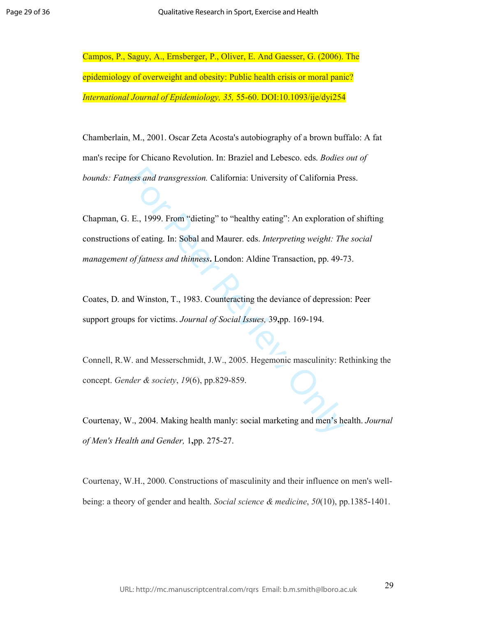Campos, P., Saguy, A., Ernsberger, P., Oliver, E. And Gaesser, G. (2006). The epidemiology of overweight and obesity: Public health crisis or moral panic?

*International Journal of Epidemiology, 35,* 55-60. DOI:10.1093/ije/dyi254 Chamberlain, M., 2001. Oscar Zeta Acosta's autobiography of a brown buffalo: A fat man's recipe for Chicano Revolution. In: Braziel and Lebesco. eds. *Bodies out of bounds: Fatness and transgression.* California: University of California Press.

ness and transgression. California: University of California Pr<br>
E., 1999. From "dieting" to "healthy eating": An exploration<br>
sof eating. In: Sobal and Maurer. eds. *Interpreting weight: Th*<br>
of fatness and thinness. Lond Chapman, G. E., 1999. From "dieting" to "healthy eating": An exploration of shifting constructions of eating. In: Sobal and Maurer. eds. *Interpreting weight: The social management of fatness and thinness***.** London: Aldine Transaction, pp. 49-73.

Coates, D. and Winston, T., 1983. Counteracting the deviance of depression: Peer support groups for victims. *Journal of Social Issues,* 39 **,**pp. 169-194.

Connell, R.W. and Messerschmidt, J.W., 2005. Hegemonic masculinity: Rethinking the concept. *Gender & society*, *19*(6), pp.829-859.

Courtenay, W., 2004. Making health manly: social marketing and men's health. *Journal of Men's Health and Gender,* 1 **,**pp. 275-27.

Courtenay, W.H., 2000. Constructions of masculinity and their influence on men's wellbeing: a theory of gender and health. *Social science & medicine*, *50*(10), pp.1385-1401.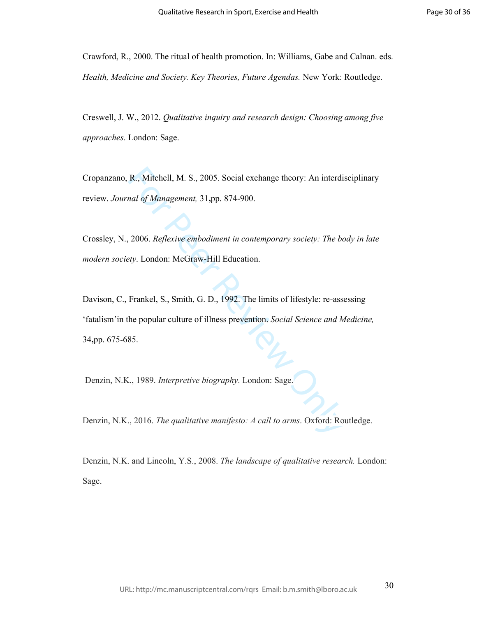Crawford, R., 2000. The ritual of health promotion. In: Williams, Gabe and Calnan. eds. *Health, Medicine and Society. Key Theories, Future Agendas.* New York: Routledge.

Creswell, J. W., 2012. *Qualitative inquiry and research design: Choosing among five approaches*. London: Sage.

Cropanzano, R., Mitchell, M. S., 2005. Social exchange theory: An interdisciplinary review. *Journal of Management,* 31 **,**pp. 874-900.

Crossley, N., 2006. *Reflexive embodiment in contemporary society: The body in late modern society*. London: McGraw-Hill Education.

R., Mitchell, M. S., 2005. Social exchange theory: An interdianal of Management, 31,pp. 874-900.<br>
2006. *Reflexive embodiment in contemporary society: The bety.* London: McGraw-Hill Education.<br>
Frankel, S., Smith, G. D., 1 Davison, C., Frankel, S., Smith, G. D., 1992. The limits of lifestyle: re-assessing 'fatalism'in the popular culture of illness prevention. *Social Science and Medicine,* 34 **,**pp. 675-685.

Denzin, N.K., 1989. *Interpretive biography*. London: Sage.

Denzin, N.K., 2016. *The qualitative manifesto: A call to arms*. Oxford: Routledge.

Denzin, N.K. and Lincoln, Y.S., 2008. *The landscape of qualitative research.* London: Sage.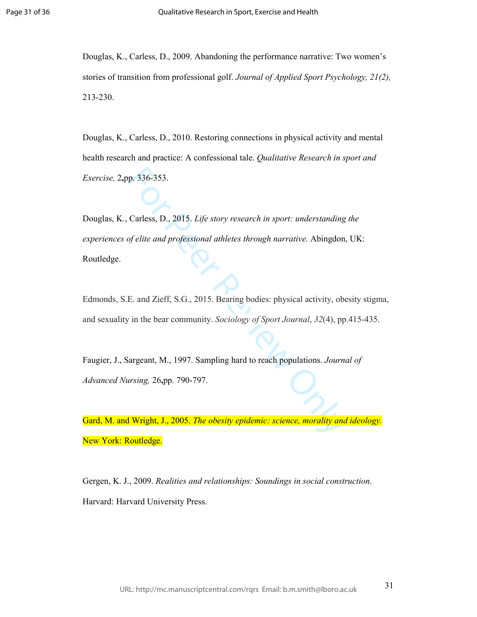Douglas, K., Carless, D., 2009. Abandoning the performance narrative: Two women's stories of transition from professional golf. *Journal of Applied Sport Psychology, 21(2),* 213-230.

Douglas, K., Carless, D., 2010. Restoring connections in physical activity and mental health research and practice: A confessional tale. *Qualitative Research in sport and Exercise,* 2 **,**pp. 336-353.

p. 336-353.<br>
Carless, D., 2015. *Life story research in sport: understanding*<br>
of elite and professional athletes through narrative. Abingdon<br>
E. and Zieff, S.G., 2015. Bearing bodies: physical activity, ob<br>
in the bear co Douglas, K., Carless, D., 2015. *Life story research in sport: understanding the experiences of elite and professional athletes through narrative.* Abingdon, UK: Routledge.

Edmonds, S.E. and Zieff, S.G., 2015. Bearing bodies: physical activity, obesity stigma, and sexuality in the bear community. *Sociology of Sport Journal*, *32*(4), pp.415-435.

Faugier, J., Sargeant, M., 1997. Sampling hard to reach populations. *Journal of Advanced Nursing,* 26 **,**pp. 790-797.

Gard, M. and Wright, J., 2005. *The obesity epidemic: science, morality and ideology.* New York: Routledge.

Gergen, K. J., 2009. *Realities and relationships: Soundings in social construction*. Harvard: Harvard University Press.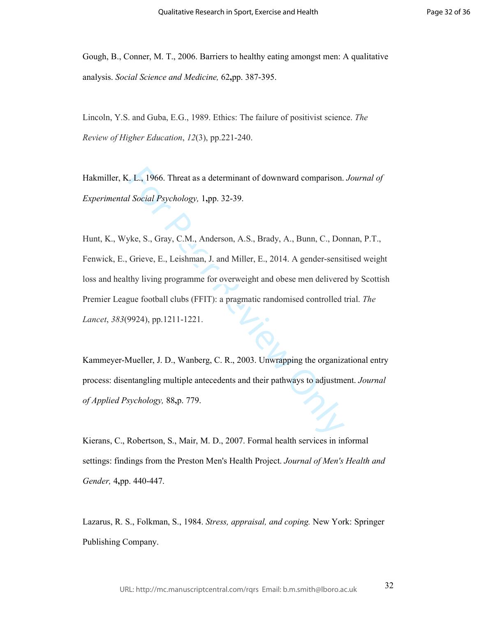Gough, B., Conner, M. T., 2006. Barriers to healthy eating amongst men: A qualitative analysis. *Social Science and Medicine,* 62 **,**pp. 387-395.

Lincoln, Y.S. and Guba, E.G., 1989. Ethics: The failure of positivist science. *The Review of Higher Education*, *12*(3), pp.221-240.

Hakmiller, K. L., 1966. Threat as a determinant of downward comparison. *Journal of Experimental Social Psychology,* 1 **,**pp. 32-39.

L. L., 1966. Threat as a determinant of downward comparison.<br>
I Social Psychology, 1,pp. 32-39.<br>
Wee, S., Gray, C.M., Anderson, A.S., Brady, A., Bunn, C., Dot<br>
Grieve, E., Leishman, J. and Miller, E., 2014. A gender-sensit Hunt, K., Wyke, S., Gray, C.M., Anderson, A.S., Brady, A., Bunn, C., Donnan, P.T., Fenwick, E., Grieve, E., Leishman, J. and Miller, E., 2014. A gender-sensitised weight loss and healthy living programme for overweight and obese men delivered by Scottish Premier League football clubs (FFIT): a pragmatic randomised controlled trial. *The Lancet*, *383*(9924), pp.1211-1221.

Kammeyer-Mueller, J. D., Wanberg, C. R., 2003. Unwrapping the organizational entry process: disentangling multiple antecedents and their pathways to adjustment. *Journal of Applied Psychology,* 88 **,**p. 779.

Kierans, C., Robertson, S., Mair, M. D., 2007. Formal health services in informal settings: findings from the Preston Men's Health Project. *Journal of Men's Health and Gender,* 4 **,**pp. 440-447.

Lazarus, R. S., Folkman, S., 1984. *Stress, appraisal, and coping.* New York: Springer Publishing Company.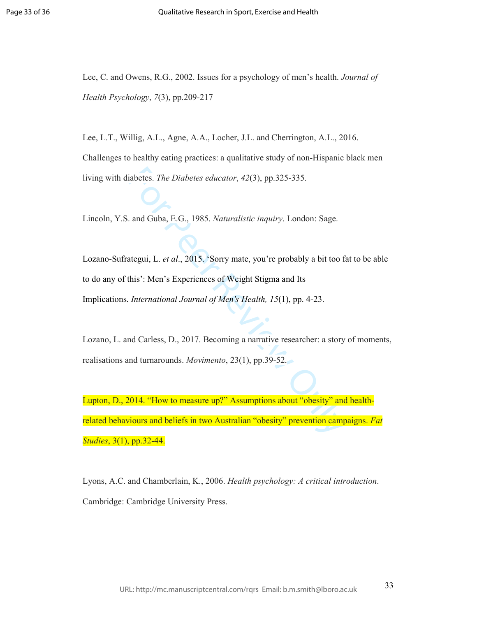Lee, C. and Owens, R.G., 2002. Issues for a psychology of men's health. *Journal of Health Psychology*, *7*(3), pp.209-217

Lee, L.T., Willig, A.L., Agne, A.A., Locher, J.L. and Cherrington, A.L., 2016. Challenges to healthy eating practices: a qualitative study of non-Hispanic black men living with diabetes. *The Diabetes educator*, *42*(3), pp.325-335.

Lincoln, Y.S. and Guba, E.G., 1985. *Naturalistic inquiry*. London: Sage.

iabetes. *The Diabetes educator*, 42(3), pp.325-335.<br>
and Guba, E.G., 1985. *Naturalistic inquiry*. London: Sage.<br>
ategui, L. *et al.*, 2015. 'Sorry mate, you're probably a bit too f<br>
this': Men's Experiences of Weight Sti Lozano-Sufrategui, L. *et al*., 2015. 'Sorry mate, you're probably a bit too fat to be able to do any of this': Men's Experiences of Weight Stigma and Its Implications. *International Journal of Men's Health, 15*(1), pp. 4-23.

Lozano, L. and Carless, D., 2017. Becoming a narrative researcher: a story of moments, realisations and turnarounds. *Movimento*, 23(1), pp.39-52.

Lupton, D., 2014. "How to measure up?" Assumptions about "obesity" and healthrelated behaviours and beliefs in two Australian "obesity" prevention campaigns. *Fat Studies*, 3(1), pp.32-44.

Lyons, A.C. and Chamberlain, K., 2006. *Health psychology: A critical introduction*. Cambridge: Cambridge University Press.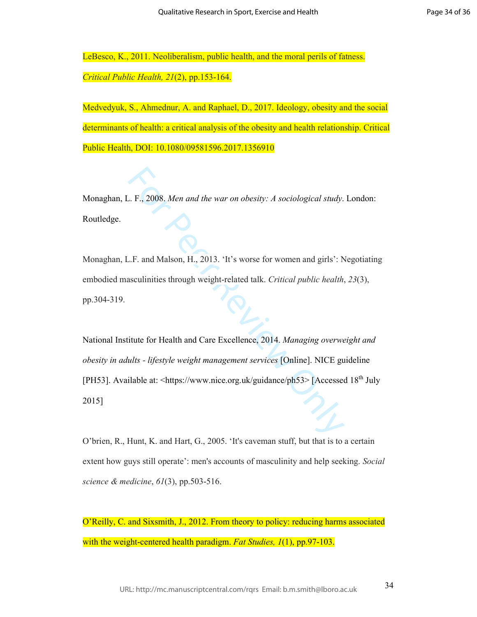LeBesco, K., 2011. Neoliberalism, public health, and the moral perils of fatness. *Critical Public Health, 21*(2), pp.153-164.

Medvedyuk, S., Ahmednur, A. and Raphael, D., 2017. Ideology, obesity and the social determinants of health: a critical analysis of the obesity and health relationship. Critical Public Health, DOI: 10.1080/09581596.2017.1356910

Monaghan, L. F., 2008. *Men and the war on obesity: A sociological study*. London: Routledge.

Monaghan, L.F. and Malson, H., 2013. 'It's worse for women and girls': Negotiating embodied masculinities through weight-related talk. *Critical public health*, *23*(3), pp.304-319.

E. F., 2008. Men and the war on obesity: A sociological study.<br>
L.F. and Malson, H., 2013. 'It's worse for women and girls': Nonsculinities through weight-related talk. Critical public health,<br>
sixculinities through weigh National Institute for Health and Care Excellence, 2014. Managing overweight and<br>obesity in adults - lifestyle weight management services [Online]. NICE guideline<br>[PH53]. Available at: <https://www.nice.org.uk/guidance/ph5 2015]

O'brien, R., Hunt, K. and Hart, G., 2005. 'It's caveman stuff, but that is to a certain extent how guys still operate': men's accounts of masculinity and help seeking. *Social science & medicine*, *61*(3), pp.503-516.

O'Reilly, C. and Sixsmith, J., 2012. From theory to policy: reducing harms associated with the weight-centered health paradigm. *Fat Studies, 1*(1), pp.97-103.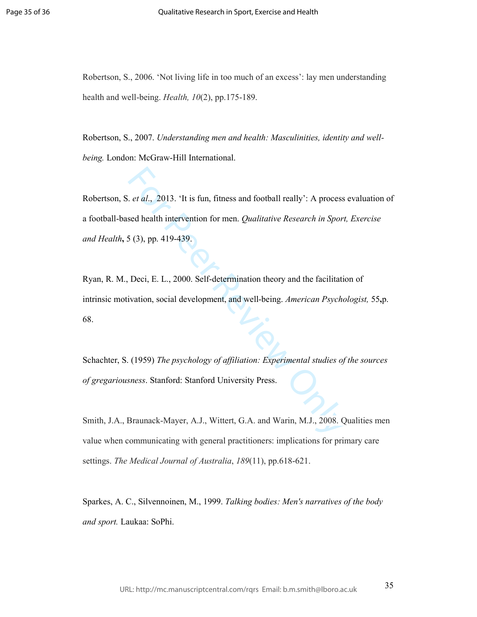Robertson, S., 2006. 'Not living life in too much of an excess': lay men understanding health and well-being. *Health, 10*(2), pp.175-189.

Robertson, S., 2007. *Understanding men and health: Masculinities, identity and wellbeing.* London: McGraw-Hill International.

*et al.*, 2013. 'It is fun, fitness and football really': A process<br>sed health intervention for men. *Qualitative Research in Sport*<br>5 (3), pp. 419-439.<br>Deci, E. L., 2000. Self-determination theory and the facilitati<br>vatio Robertson, S. *et al*., 2013. 'It is fun, fitness and football really': A process evaluation of a football-based health intervention for men. *Qualitative Research in Sport, Exercise and Health* **,** 5 (3), pp. 419-439.

Ryan, R. M., Deci, E. L., 2000. Self-determination theory and the facilitation of intrinsic motivation, social development, and well-being. *American Psychologist,* 55 **,**p. 68.

Schachter, S. (1959) *The psychology of affiliation: Experimental studies of the sources of gregariousness*. Stanford: Stanford University Press.

Smith, J.A., Braunack-Mayer, A.J., Wittert, G.A. and Warin, M.J., 2008. Qualities men value when communicating with general practitioners: implications for primary care settings. *The Medical Journal of Australia*, *189*(11), pp.618-621.

Sparkes, A. C., Silvennoinen, M., 1999. *Talking bodies: Men's narratives of the body and sport.* Laukaa: SoPhi.